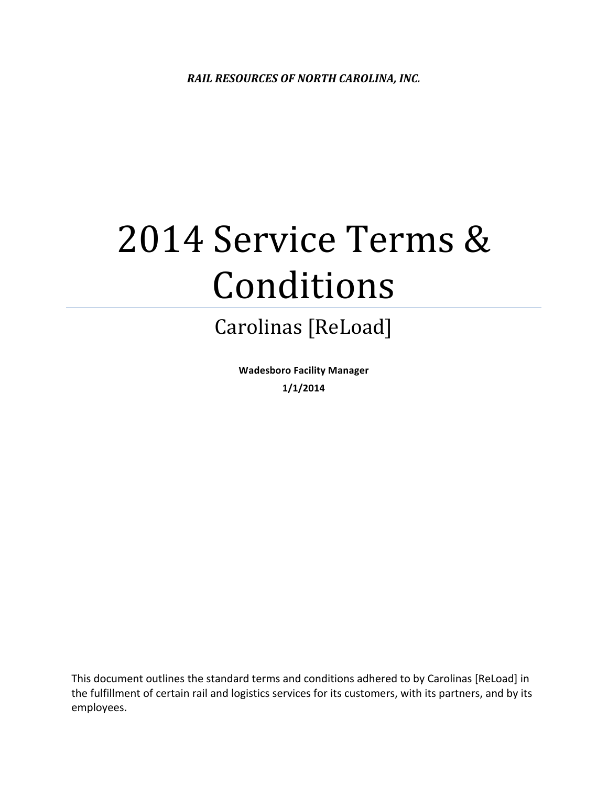# 2014 Service Terms & Conditions

# Carolinas [ReLoad]

**Wadesboro Facility Manager 1/1/2014**

This document outlines the standard terms and conditions adhered to by Carolinas [ReLoad] in the fulfillment of certain rail and logistics services for its customers, with its partners, and by its employees.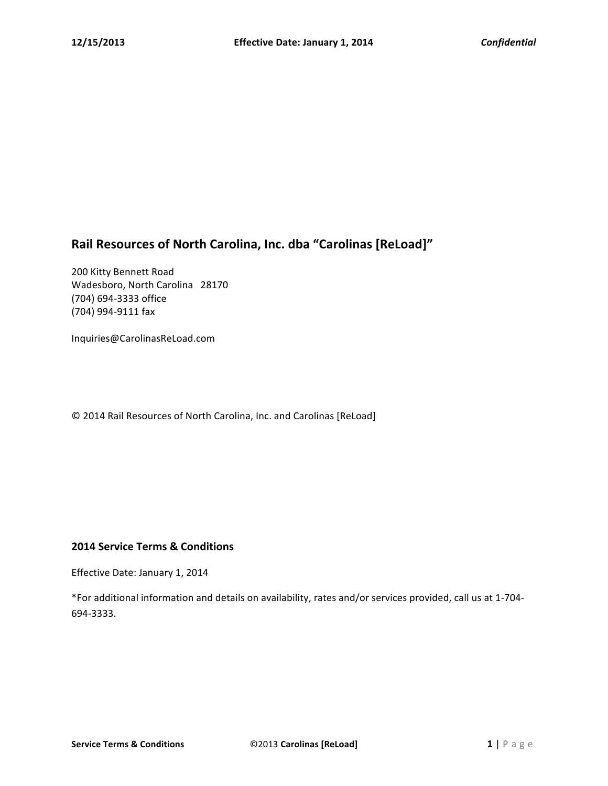# Rail Resources of North Carolina, Inc. dba "Carolinas [ReLoad]"

200 Kitty Bennett Road Wadesboro, North Carolina 28170 (704) 694-3333 office (704) 994-9111 fax

Inquiries@CarolinasReLoad.com

© 2014 Rail Resources of North Carolina, Inc. and Carolinas [ReLoad]

# **2014 Service Terms & Conditions**

Effective Date: January 1, 2014

\*For additional information and details on availability, rates and/or services provided, call us at 1-704-694-3333.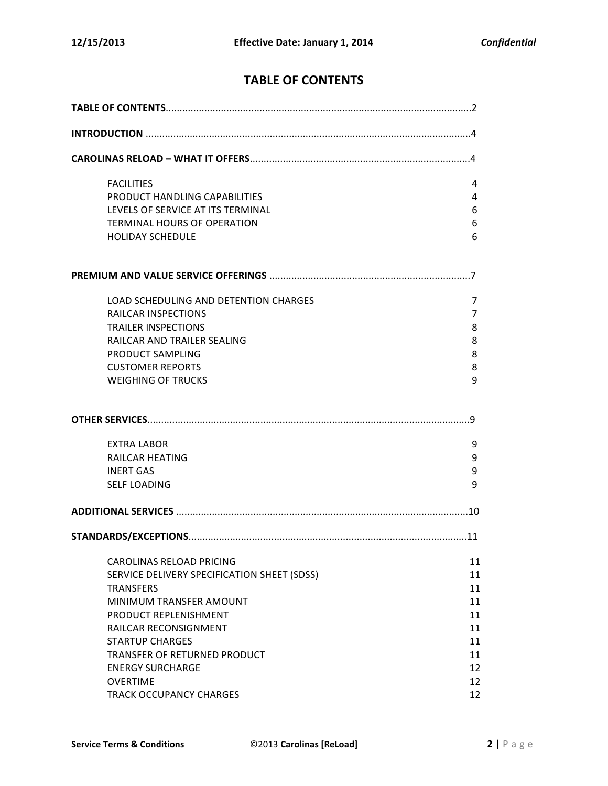# **TABLE OF CONTENTS**

| <b>FACILITIES</b>                           | 4  |  |
|---------------------------------------------|----|--|
| PRODUCT HANDLING CAPABILITIES               | 4  |  |
| LEVELS OF SERVICE AT ITS TERMINAL           | 6  |  |
| <b>TERMINAL HOURS OF OPERATION</b>          | 6  |  |
| <b>HOLIDAY SCHEDULE</b>                     | 6  |  |
|                                             |    |  |
| LOAD SCHEDULING AND DETENTION CHARGES       | 7  |  |
| <b>RAILCAR INSPECTIONS</b>                  | 7  |  |
| <b>TRAILER INSPECTIONS</b>                  | 8  |  |
| RAILCAR AND TRAILER SEALING                 | 8  |  |
| PRODUCT SAMPLING                            | 8  |  |
| <b>CUSTOMER REPORTS</b>                     | 8  |  |
| <b>WEIGHING OF TRUCKS</b>                   | 9  |  |
|                                             |    |  |
| <b>EXTRA LABOR</b>                          | 9  |  |
| <b>RAILCAR HEATING</b>                      | 9  |  |
| <b>INERT GAS</b>                            | 9  |  |
| <b>SELF LOADING</b>                         | 9  |  |
|                                             |    |  |
|                                             |    |  |
| <b>CAROLINAS RELOAD PRICING</b>             | 11 |  |
| SERVICE DELIVERY SPECIFICATION SHEET (SDSS) | 11 |  |
| <b>TRANSFERS</b>                            | 11 |  |
| MINIMUM TRANSFER AMOUNT                     | 11 |  |
| PRODUCT REPLENISHMENT                       | 11 |  |
| RAILCAR RECONSIGNMENT                       | 11 |  |
| <b>STARTUP CHARGES</b>                      | 11 |  |
| TRANSFER OF RETURNED PRODUCT                | 11 |  |
| <b>ENERGY SURCHARGE</b>                     | 12 |  |
| <b>OVERTIME</b>                             | 12 |  |
| TRACK OCCUPANCY CHARGES                     | 12 |  |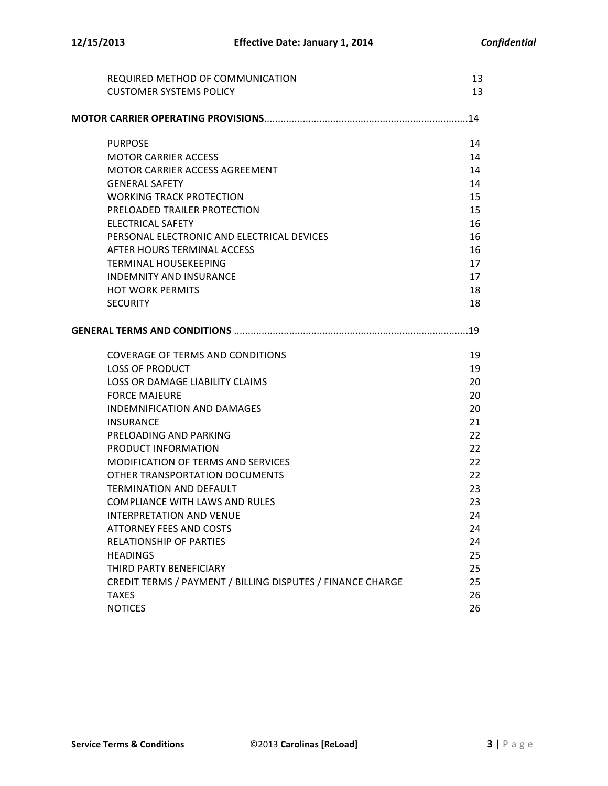| REQUIRED METHOD OF COMMUNICATION                                       | 13       |
|------------------------------------------------------------------------|----------|
| <b>CUSTOMER SYSTEMS POLICY</b>                                         | 13       |
|                                                                        |          |
| <b>PURPOSE</b>                                                         | 14       |
| <b>MOTOR CARRIER ACCESS</b>                                            | 14       |
| MOTOR CARRIER ACCESS AGREEMENT                                         | 14       |
| <b>GENERAL SAFETY</b>                                                  | 14       |
| <b>WORKING TRACK PROTECTION</b>                                        | 15       |
| PRELOADED TRAILER PROTECTION                                           | 15       |
| <b>ELECTRICAL SAFETY</b><br>PERSONAL ELECTRONIC AND ELECTRICAL DEVICES | 16<br>16 |
| AFTER HOURS TERMINAL ACCESS                                            | 16       |
| <b>TERMINAL HOUSEKEEPING</b>                                           | 17       |
| <b>INDEMNITY AND INSURANCE</b>                                         | 17       |
| <b>HOT WORK PERMITS</b>                                                | 18       |
| <b>SECURITY</b>                                                        | 18       |
|                                                                        | .19      |
| <b>COVERAGE OF TERMS AND CONDITIONS</b>                                | 19       |
| <b>LOSS OF PRODUCT</b>                                                 | 19       |
| LOSS OR DAMAGE LIABILITY CLAIMS                                        | 20       |
| <b>FORCE MAJEURE</b>                                                   | 20       |
| <b>INDEMNIFICATION AND DAMAGES</b>                                     | 20       |
| <b>INSURANCE</b>                                                       | 21       |
| PRELOADING AND PARKING                                                 | 22       |
| PRODUCT INFORMATION                                                    | 22       |
| <b>MODIFICATION OF TERMS AND SERVICES</b>                              | 22       |
| OTHER TRANSPORTATION DOCUMENTS                                         | 22       |
| <b>TERMINATION AND DEFAULT</b>                                         | 23<br>23 |
| <b>COMPLIANCE WITH LAWS AND RULES</b>                                  |          |
| INTERPRETATION AND VENUE<br><b>ATTORNEY FEES AND COSTS</b>             | 24<br>24 |
| <b>RELATIONSHIP OF PARTIES</b>                                         | 24       |
| <b>HEADINGS</b>                                                        | 25       |
| THIRD PARTY BENEFICIARY                                                | 25       |
| CREDIT TERMS / PAYMENT / BILLING DISPUTES / FINANCE CHARGE             | 25       |
| <b>TAXES</b>                                                           | 26       |
| <b>NOTICES</b>                                                         | 26       |
|                                                                        |          |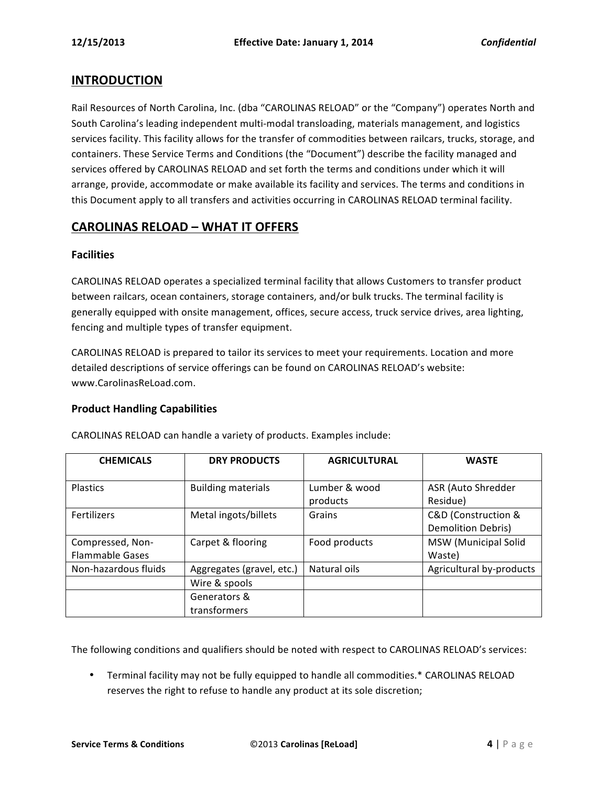# **INTRODUCTION**

Rail Resources of North Carolina, Inc. (dba "CAROLINAS RELOAD" or the "Company") operates North and South Carolina's leading independent multi-modal transloading, materials management, and logistics services facility. This facility allows for the transfer of commodities between railcars, trucks, storage, and containers. These Service Terms and Conditions (the "Document") describe the facility managed and services offered by CAROLINAS RELOAD and set forth the terms and conditions under which it will arrange, provide, accommodate or make available its facility and services. The terms and conditions in this Document apply to all transfers and activities occurring in CAROLINAS RELOAD terminal facility.

# **CAROLINAS RELOAD – WHAT IT OFFERS**

#### **Facilities**

CAROLINAS RELOAD operates a specialized terminal facility that allows Customers to transfer product between railcars, ocean containers, storage containers, and/or bulk trucks. The terminal facility is generally equipped with onsite management, offices, secure access, truck service drives, area lighting, fencing and multiple types of transfer equipment.

CAROLINAS RELOAD is prepared to tailor its services to meet your requirements. Location and more detailed descriptions of service offerings can be found on CAROLINAS RELOAD's website: www.CarolinasReLoad.com.

#### **Product Handling Capabilities**

| <b>CHEMICALS</b>       | <b>DRY PRODUCTS</b>       | <b>AGRICULTURAL</b> | <b>WASTE</b>              |
|------------------------|---------------------------|---------------------|---------------------------|
|                        |                           |                     |                           |
| <b>Plastics</b>        | <b>Building materials</b> | Lumber & wood       | ASR (Auto Shredder        |
|                        |                           | products            | Residue)                  |
| Fertilizers            | Metal ingots/billets      | Grains              | C&D (Construction &       |
|                        |                           |                     | <b>Demolition Debris)</b> |
| Compressed, Non-       | Carpet & flooring         | Food products       | MSW (Municipal Solid      |
| <b>Flammable Gases</b> |                           |                     | Waste)                    |
| Non-hazardous fluids   | Aggregates (gravel, etc.) | Natural oils        | Agricultural by-products  |
|                        | Wire & spools             |                     |                           |
|                        | Generators &              |                     |                           |
|                        | transformers              |                     |                           |

CAROLINAS RELOAD can handle a variety of products. Examples include:

The following conditions and qualifiers should be noted with respect to CAROLINAS RELOAD's services:

• Terminal facility may not be fully equipped to handle all commodities.\* CAROLINAS RELOAD reserves the right to refuse to handle any product at its sole discretion;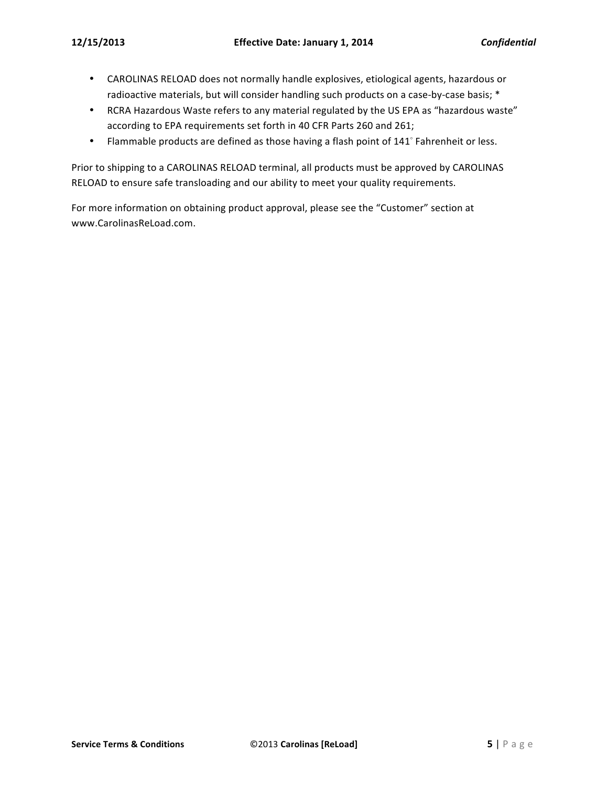- CAROLINAS RELOAD does not normally handle explosives, etiological agents, hazardous or radioactive materials, but will consider handling such products on a case-by-case basis; \*
- RCRA Hazardous Waste refers to any material regulated by the US EPA as "hazardous waste" according to EPA requirements set forth in 40 CFR Parts 260 and 261;
- Flammable products are defined as those having a flash point of 141° Fahrenheit or less.

Prior to shipping to a CAROLINAS RELOAD terminal, all products must be approved by CAROLINAS RELOAD to ensure safe transloading and our ability to meet your quality requirements.

For more information on obtaining product approval, please see the "Customer" section at www.CarolinasReLoad.com.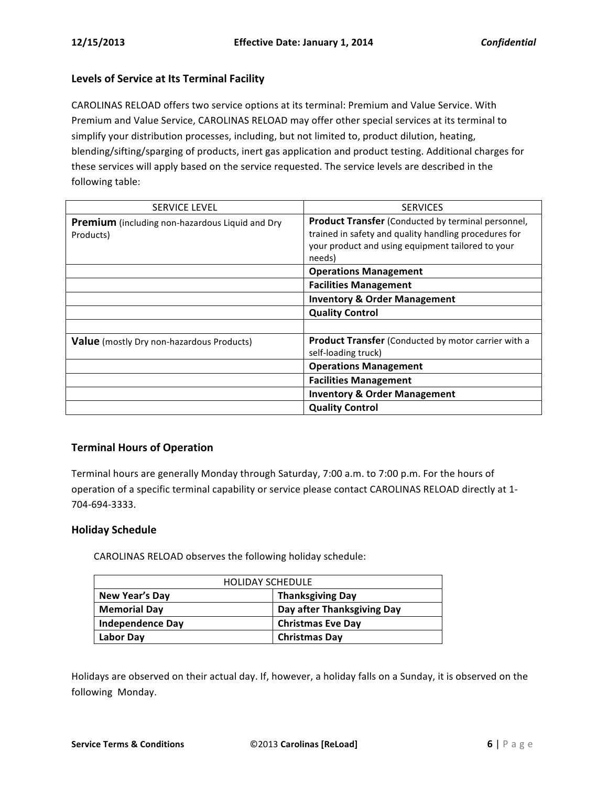#### Levels of Service at Its Terminal Facility

CAROLINAS RELOAD offers two service options at its terminal: Premium and Value Service. With Premium and Value Service, CAROLINAS RELOAD may offer other special services at its terminal to simplify your distribution processes, including, but not limited to, product dilution, heating, blending/sifting/sparging of products, inert gas application and product testing. Additional charges for these services will apply based on the service requested. The service levels are described in the following table:

| <b>SERVICE LEVEL</b>                                                | <b>SERVICES</b>                                                                                                                                                                   |
|---------------------------------------------------------------------|-----------------------------------------------------------------------------------------------------------------------------------------------------------------------------------|
| <b>Premium</b> (including non-hazardous Liquid and Dry<br>Products) | <b>Product Transfer</b> (Conducted by terminal personnel,<br>trained in safety and quality handling procedures for<br>your product and using equipment tailored to your<br>needs) |
|                                                                     | <b>Operations Management</b>                                                                                                                                                      |
|                                                                     | <b>Facilities Management</b>                                                                                                                                                      |
|                                                                     | <b>Inventory &amp; Order Management</b>                                                                                                                                           |
|                                                                     | <b>Quality Control</b>                                                                                                                                                            |
|                                                                     |                                                                                                                                                                                   |
| <b>Value</b> (mostly Dry non-hazardous Products)                    | <b>Product Transfer</b> (Conducted by motor carrier with a<br>self-loading truck)                                                                                                 |
|                                                                     | <b>Operations Management</b>                                                                                                                                                      |
|                                                                     | <b>Facilities Management</b>                                                                                                                                                      |
|                                                                     | <b>Inventory &amp; Order Management</b>                                                                                                                                           |
|                                                                     | <b>Quality Control</b>                                                                                                                                                            |

# **Terminal Hours of Operation**

Terminal hours are generally Monday through Saturday, 7:00 a.m. to 7:00 p.m. For the hours of operation of a specific terminal capability or service please contact CAROLINAS RELOAD directly at 1-704-694-3333.

#### **Holiday Schedule**

CAROLINAS RELOAD observes the following holiday schedule:

| <b>HOLIDAY SCHEDULE</b> |                            |  |  |
|-------------------------|----------------------------|--|--|
| New Year's Day          | <b>Thanksgiving Day</b>    |  |  |
| <b>Memorial Day</b>     | Day after Thanksgiving Day |  |  |
| <b>Independence Day</b> | <b>Christmas Eve Day</b>   |  |  |
| Labor Day               | <b>Christmas Day</b>       |  |  |

Holidays are observed on their actual day. If, however, a holiday falls on a Sunday, it is observed on the following Monday.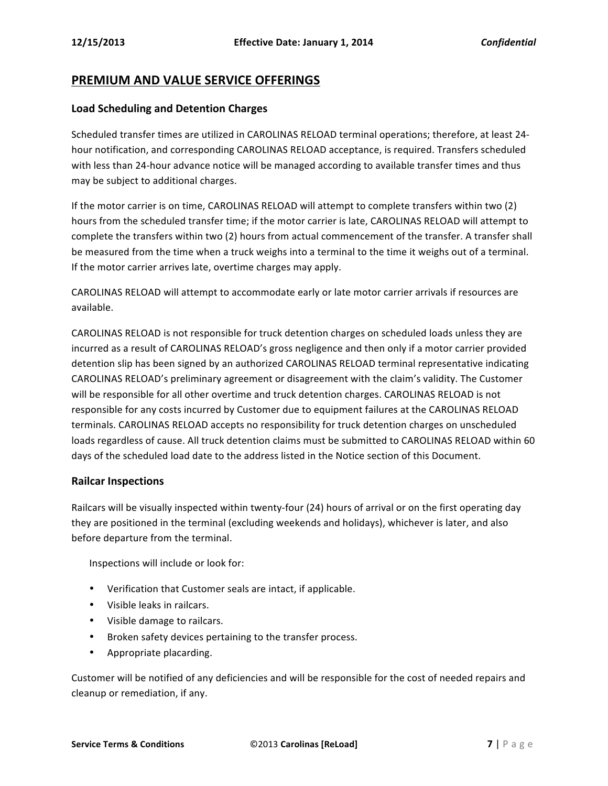# **PREMIUM AND VALUE SERVICE OFFERINGS**

#### **Load Scheduling and Detention Charges**

Scheduled transfer times are utilized in CAROLINAS RELOAD terminal operations; therefore, at least 24hour notification, and corresponding CAROLINAS RELOAD acceptance, is required. Transfers scheduled with less than 24-hour advance notice will be managed according to available transfer times and thus may be subject to additional charges.

If the motor carrier is on time, CAROLINAS RELOAD will attempt to complete transfers within two (2) hours from the scheduled transfer time; if the motor carrier is late, CAROLINAS RELOAD will attempt to complete the transfers within two (2) hours from actual commencement of the transfer. A transfer shall be measured from the time when a truck weighs into a terminal to the time it weighs out of a terminal. If the motor carrier arrives late, overtime charges may apply.

CAROLINAS RELOAD will attempt to accommodate early or late motor carrier arrivals if resources are available.

CAROLINAS RELOAD is not responsible for truck detention charges on scheduled loads unless they are incurred as a result of CAROLINAS RELOAD's gross negligence and then only if a motor carrier provided detention slip has been signed by an authorized CAROLINAS RELOAD terminal representative indicating CAROLINAS RELOAD's preliminary agreement or disagreement with the claim's validity. The Customer will be responsible for all other overtime and truck detention charges. CAROLINAS RELOAD is not responsible for any costs incurred by Customer due to equipment failures at the CAROLINAS RELOAD terminals. CAROLINAS RELOAD accepts no responsibility for truck detention charges on unscheduled loads regardless of cause. All truck detention claims must be submitted to CAROLINAS RELOAD within 60 days of the scheduled load date to the address listed in the Notice section of this Document.

#### **Railcar Inspections**

Railcars will be visually inspected within twenty-four (24) hours of arrival or on the first operating day they are positioned in the terminal (excluding weekends and holidays), whichever is later, and also before departure from the terminal.

Inspections will include or look for:

- Verification that Customer seals are intact, if applicable.
- Visible leaks in railcars.
- Visible damage to railcars.
- Broken safety devices pertaining to the transfer process.
- Appropriate placarding.

Customer will be notified of any deficiencies and will be responsible for the cost of needed repairs and cleanup or remediation, if any.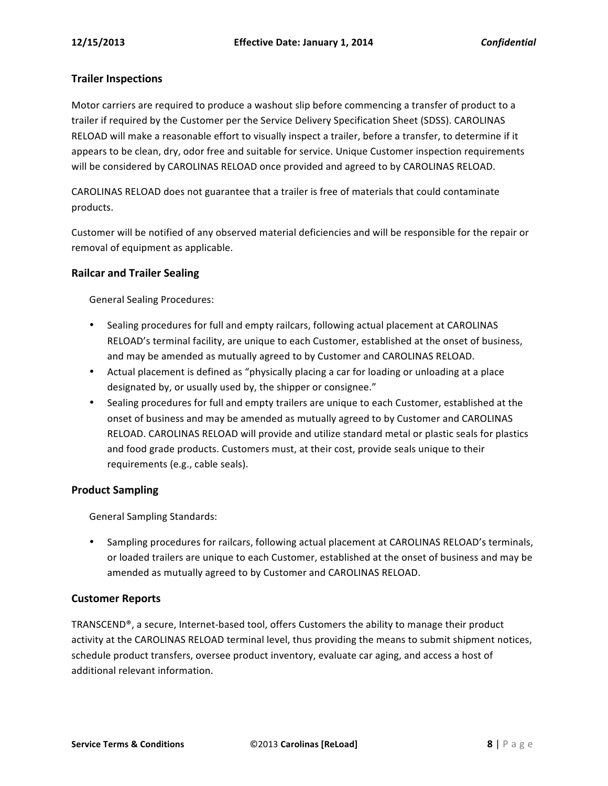#### **Trailer Inspections**

Motor carriers are required to produce a washout slip before commencing a transfer of product to a trailer if required by the Customer per the Service Delivery Specification Sheet (SDSS). CAROLINAS RELOAD will make a reasonable effort to visually inspect a trailer, before a transfer, to determine if it appears to be clean, dry, odor free and suitable for service. Unique Customer inspection requirements will be considered by CAROLINAS RELOAD once provided and agreed to by CAROLINAS RELOAD.

CAROLINAS RELOAD does not guarantee that a trailer is free of materials that could contaminate products.

Customer will be notified of any observed material deficiencies and will be responsible for the repair or removal of equipment as applicable.

#### **Railcar and Trailer Sealing**

General Sealing Procedures:

- Sealing procedures for full and empty railcars, following actual placement at CAROLINAS RELOAD's terminal facility, are unique to each Customer, established at the onset of business, and may be amended as mutually agreed to by Customer and CAROLINAS RELOAD.
- Actual placement is defined as "physically placing a car for loading or unloading at a place designated by, or usually used by, the shipper or consignee."
- Sealing procedures for full and empty trailers are unique to each Customer, established at the onset of business and may be amended as mutually agreed to by Customer and CAROLINAS RELOAD. CAROLINAS RELOAD will provide and utilize standard metal or plastic seals for plastics and food grade products. Customers must, at their cost, provide seals unique to their requirements (e.g., cable seals).

#### **Product Sampling**

General Sampling Standards:

• Sampling procedures for railcars, following actual placement at CAROLINAS RELOAD's terminals, or loaded trailers are unique to each Customer, established at the onset of business and may be amended as mutually agreed to by Customer and CAROLINAS RELOAD.

#### **Customer Reports**

TRANSCEND®, a secure, Internet-based tool, offers Customers the ability to manage their product activity at the CAROLINAS RELOAD terminal level, thus providing the means to submit shipment notices, schedule product transfers, oversee product inventory, evaluate car aging, and access a host of additional relevant information.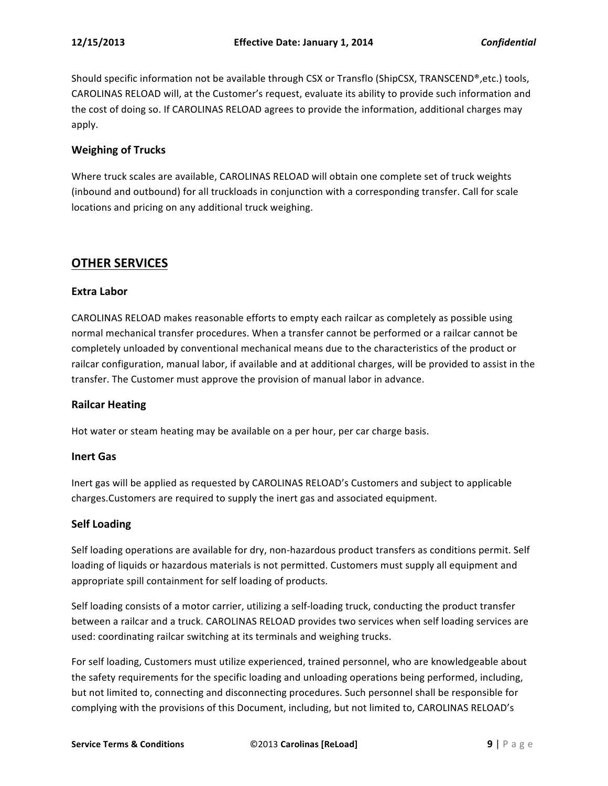Should specific information not be available through CSX or Transflo (ShipCSX, TRANSCEND®,etc.) tools, CAROLINAS RELOAD will, at the Customer's request, evaluate its ability to provide such information and the cost of doing so. If CAROLINAS RELOAD agrees to provide the information, additional charges may apply.

#### **Weighing of Trucks**

Where truck scales are available, CAROLINAS RELOAD will obtain one complete set of truck weights (inbound and outbound) for all truckloads in conjunction with a corresponding transfer. Call for scale locations and pricing on any additional truck weighing.

# **OTHER SERVICES**

#### **Extra Labor**

CAROLINAS RELOAD makes reasonable efforts to empty each railcar as completely as possible using normal mechanical transfer procedures. When a transfer cannot be performed or a railcar cannot be completely unloaded by conventional mechanical means due to the characteristics of the product or railcar configuration, manual labor, if available and at additional charges, will be provided to assist in the transfer. The Customer must approve the provision of manual labor in advance.

#### **Railcar Heating**

Hot water or steam heating may be available on a per hour, per car charge basis.

#### **Inert Gas**

Inert gas will be applied as requested by CAROLINAS RELOAD's Customers and subject to applicable charges.Customers are required to supply the inert gas and associated equipment.

#### **Self Loading**

Self loading operations are available for dry, non-hazardous product transfers as conditions permit. Self loading of liquids or hazardous materials is not permitted. Customers must supply all equipment and appropriate spill containment for self loading of products.

Self loading consists of a motor carrier, utilizing a self-loading truck, conducting the product transfer between a railcar and a truck. CAROLINAS RELOAD provides two services when self loading services are used: coordinating railcar switching at its terminals and weighing trucks.

For self loading, Customers must utilize experienced, trained personnel, who are knowledgeable about the safety requirements for the specific loading and unloading operations being performed, including, but not limited to, connecting and disconnecting procedures. Such personnel shall be responsible for complying with the provisions of this Document, including, but not limited to, CAROLINAS RELOAD's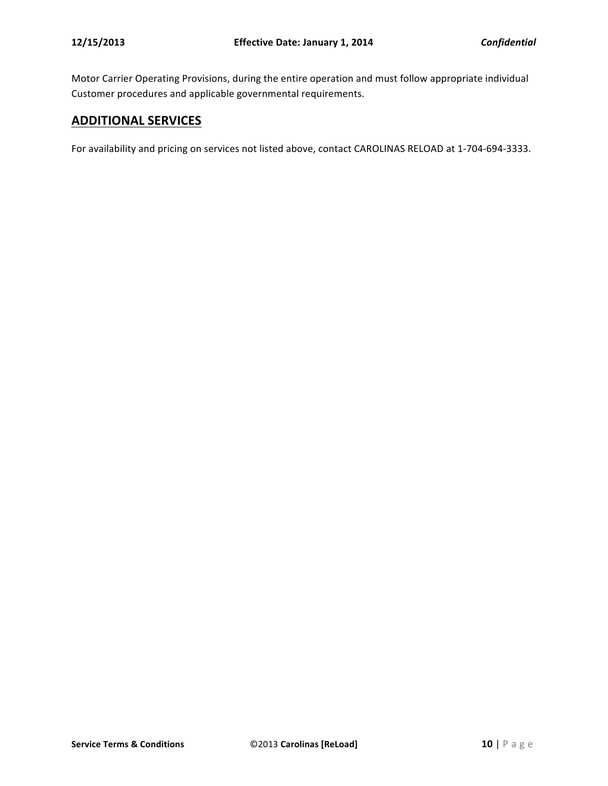Motor Carrier Operating Provisions, during the entire operation and must follow appropriate individual Customer procedures and applicable governmental requirements.

# **ADDITIONAL SERVICES**

For availability and pricing on services not listed above, contact CAROLINAS RELOAD at 1-704-694-3333.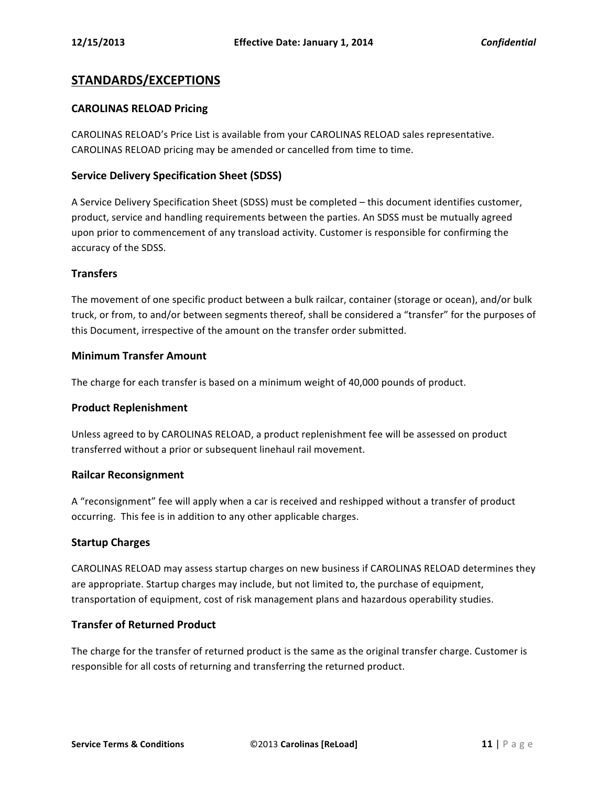# **STANDARDS/EXCEPTIONS**

#### **CAROLINAS RELOAD Pricing**

CAROLINAS RELOAD's Price List is available from your CAROLINAS RELOAD sales representative. CAROLINAS RELOAD pricing may be amended or cancelled from time to time.

#### **Service Delivery Specification Sheet (SDSS)**

A Service Delivery Specification Sheet (SDSS) must be completed - this document identifies customer, product, service and handling requirements between the parties. An SDSS must be mutually agreed upon prior to commencement of any transload activity. Customer is responsible for confirming the accuracy of the SDSS.

#### **Transfers**

The movement of one specific product between a bulk railcar, container (storage or ocean), and/or bulk truck, or from, to and/or between segments thereof, shall be considered a "transfer" for the purposes of this Document, irrespective of the amount on the transfer order submitted.

#### **Minimum Transfer Amount**

The charge for each transfer is based on a minimum weight of 40,000 pounds of product.

#### **Product Replenishment**

Unless agreed to by CAROLINAS RELOAD, a product replenishment fee will be assessed on product transferred without a prior or subsequent linehaul rail movement.

#### **Railcar Reconsignment**

A "reconsignment" fee will apply when a car is received and reshipped without a transfer of product occurring. This fee is in addition to any other applicable charges.

#### **Startup Charges**

CAROLINAS RELOAD may assess startup charges on new business if CAROLINAS RELOAD determines they are appropriate. Startup charges may include, but not limited to, the purchase of equipment, transportation of equipment, cost of risk management plans and hazardous operability studies.

#### **Transfer of Returned Product**

The charge for the transfer of returned product is the same as the original transfer charge. Customer is responsible for all costs of returning and transferring the returned product.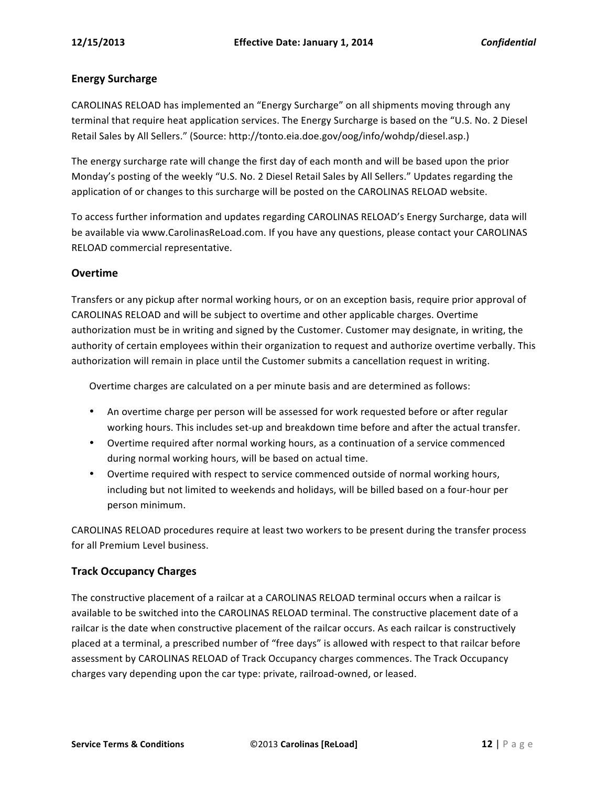#### **Energy Surcharge**

CAROLINAS RELOAD has implemented an "Energy Surcharge" on all shipments moving through any terminal that require heat application services. The Energy Surcharge is based on the "U.S. No. 2 Diesel Retail Sales by All Sellers." (Source: http://tonto.eia.doe.gov/oog/info/wohdp/diesel.asp.)

The energy surcharge rate will change the first day of each month and will be based upon the prior Monday's posting of the weekly "U.S. No. 2 Diesel Retail Sales by All Sellers." Updates regarding the application of or changes to this surcharge will be posted on the CAROLINAS RELOAD website.

To access further information and updates regarding CAROLINAS RELOAD's Energy Surcharge, data will be available via www.CarolinasReLoad.com. If you have any questions, please contact your CAROLINAS RELOAD commercial representative.

#### **Overtime**

Transfers or any pickup after normal working hours, or on an exception basis, require prior approval of CAROLINAS RELOAD and will be subject to overtime and other applicable charges. Overtime authorization must be in writing and signed by the Customer. Customer may designate, in writing, the authority of certain employees within their organization to request and authorize overtime verbally. This authorization will remain in place until the Customer submits a cancellation request in writing.

Overtime charges are calculated on a per minute basis and are determined as follows:

- An overtime charge per person will be assessed for work requested before or after regular working hours. This includes set-up and breakdown time before and after the actual transfer.
- Overtime required after normal working hours, as a continuation of a service commenced during normal working hours, will be based on actual time.
- Overtime required with respect to service commenced outside of normal working hours, including but not limited to weekends and holidays, will be billed based on a four-hour per person minimum.

CAROLINAS RELOAD procedures require at least two workers to be present during the transfer process for all Premium Level business.

#### **Track Occupancy Charges**

The constructive placement of a railcar at a CAROLINAS RELOAD terminal occurs when a railcar is available to be switched into the CAROLINAS RELOAD terminal. The constructive placement date of a railcar is the date when constructive placement of the railcar occurs. As each railcar is constructively placed at a terminal, a prescribed number of "free days" is allowed with respect to that railcar before assessment by CAROLINAS RELOAD of Track Occupancy charges commences. The Track Occupancy charges vary depending upon the car type: private, railroad-owned, or leased.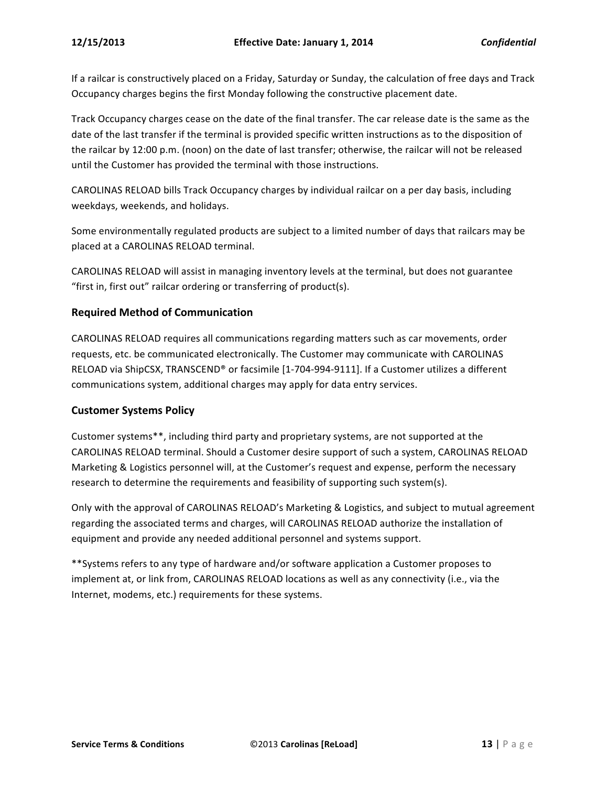If a railcar is constructively placed on a Friday, Saturday or Sunday, the calculation of free days and Track Occupancy charges begins the first Monday following the constructive placement date.

Track Occupancy charges cease on the date of the final transfer. The car release date is the same as the date of the last transfer if the terminal is provided specific written instructions as to the disposition of the railcar by 12:00 p.m. (noon) on the date of last transfer; otherwise, the railcar will not be released until the Customer has provided the terminal with those instructions.

CAROLINAS RELOAD bills Track Occupancy charges by individual railcar on a per day basis, including weekdays, weekends, and holidays.

Some environmentally regulated products are subject to a limited number of days that railcars may be placed at a CAROLINAS RELOAD terminal.

CAROLINAS RELOAD will assist in managing inventory levels at the terminal, but does not guarantee "first in, first out" railcar ordering or transferring of product(s).

#### **Required Method of Communication**

CAROLINAS RELOAD requires all communications regarding matters such as car movements, order requests, etc. be communicated electronically. The Customer may communicate with CAROLINAS RELOAD via ShipCSX, TRANSCEND® or facsimile [1-704-994-9111]. If a Customer utilizes a different communications system, additional charges may apply for data entry services.

#### **Customer Systems Policy**

Customer systems\*\*, including third party and proprietary systems, are not supported at the CAROLINAS RELOAD terminal. Should a Customer desire support of such a system, CAROLINAS RELOAD Marketing & Logistics personnel will, at the Customer's request and expense, perform the necessary research to determine the requirements and feasibility of supporting such system(s).

Only with the approval of CAROLINAS RELOAD's Marketing & Logistics, and subject to mutual agreement regarding the associated terms and charges, will CAROLINAS RELOAD authorize the installation of equipment and provide any needed additional personnel and systems support.

\*\*Systems refers to any type of hardware and/or software application a Customer proposes to implement at, or link from, CAROLINAS RELOAD locations as well as any connectivity (i.e., via the Internet, modems, etc.) requirements for these systems.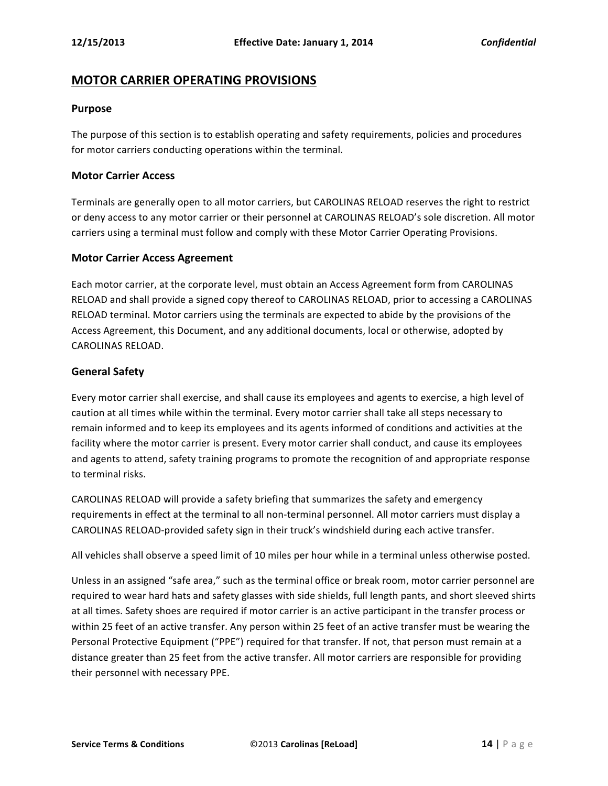# **MOTOR CARRIER OPERATING PROVISIONS**

#### **Purpose**

The purpose of this section is to establish operating and safety requirements, policies and procedures for motor carriers conducting operations within the terminal.

#### **Motor Carrier Access**

Terminals are generally open to all motor carriers, but CAROLINAS RELOAD reserves the right to restrict or deny access to any motor carrier or their personnel at CAROLINAS RELOAD's sole discretion. All motor carriers using a terminal must follow and comply with these Motor Carrier Operating Provisions.

#### **Motor Carrier Access Agreement**

Each motor carrier, at the corporate level, must obtain an Access Agreement form from CAROLINAS RELOAD and shall provide a signed copy thereof to CAROLINAS RELOAD, prior to accessing a CAROLINAS RELOAD terminal. Motor carriers using the terminals are expected to abide by the provisions of the Access Agreement, this Document, and any additional documents, local or otherwise, adopted by CAROLINAS RELOAD.

#### **General Safety**

Every motor carrier shall exercise, and shall cause its employees and agents to exercise, a high level of caution at all times while within the terminal. Every motor carrier shall take all steps necessary to remain informed and to keep its employees and its agents informed of conditions and activities at the facility where the motor carrier is present. Every motor carrier shall conduct, and cause its employees and agents to attend, safety training programs to promote the recognition of and appropriate response to terminal risks.

CAROLINAS RELOAD will provide a safety briefing that summarizes the safety and emergency requirements in effect at the terminal to all non-terminal personnel. All motor carriers must display a CAROLINAS RELOAD-provided safety sign in their truck's windshield during each active transfer.

All vehicles shall observe a speed limit of 10 miles per hour while in a terminal unless otherwise posted.

Unless in an assigned "safe area," such as the terminal office or break room, motor carrier personnel are required to wear hard hats and safety glasses with side shields, full length pants, and short sleeved shirts at all times. Safety shoes are required if motor carrier is an active participant in the transfer process or within 25 feet of an active transfer. Any person within 25 feet of an active transfer must be wearing the Personal Protective Equipment ("PPE") required for that transfer. If not, that person must remain at a distance greater than 25 feet from the active transfer. All motor carriers are responsible for providing their personnel with necessary PPE.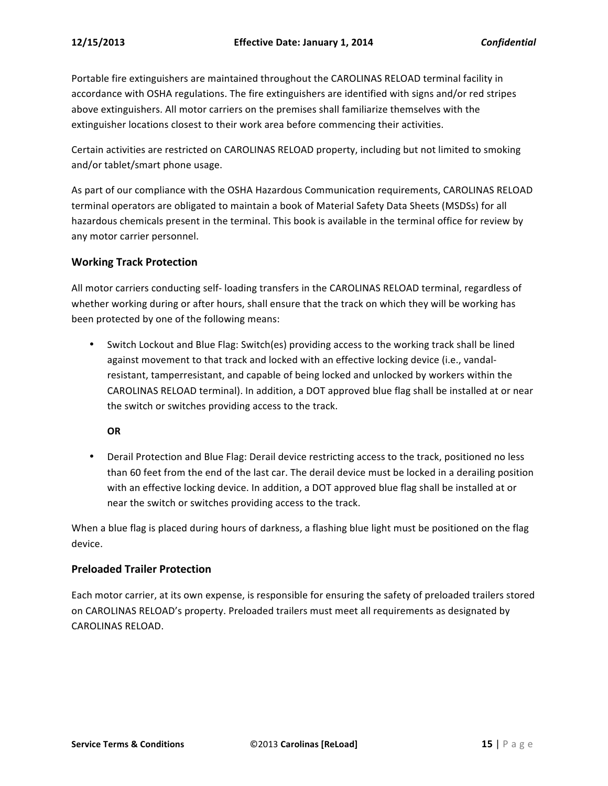Portable fire extinguishers are maintained throughout the CAROLINAS RELOAD terminal facility in accordance with OSHA regulations. The fire extinguishers are identified with signs and/or red stripes above extinguishers. All motor carriers on the premises shall familiarize themselves with the extinguisher locations closest to their work area before commencing their activities.

Certain activities are restricted on CAROLINAS RELOAD property, including but not limited to smoking and/or tablet/smart phone usage.

As part of our compliance with the OSHA Hazardous Communication requirements, CAROLINAS RELOAD terminal operators are obligated to maintain a book of Material Safety Data Sheets (MSDSs) for all hazardous chemicals present in the terminal. This book is available in the terminal office for review by any motor carrier personnel.

#### **Working Track Protection**

All motor carriers conducting self- loading transfers in the CAROLINAS RELOAD terminal, regardless of whether working during or after hours, shall ensure that the track on which they will be working has been protected by one of the following means:

Switch Lockout and Blue Flag: Switch(es) providing access to the working track shall be lined against movement to that track and locked with an effective locking device (i.e., vandalresistant, tamperresistant, and capable of being locked and unlocked by workers within the CAROLINAS RELOAD terminal). In addition, a DOT approved blue flag shall be installed at or near the switch or switches providing access to the track.

**OR**

• Derail Protection and Blue Flag: Derail device restricting access to the track, positioned no less than 60 feet from the end of the last car. The derail device must be locked in a derailing position with an effective locking device. In addition, a DOT approved blue flag shall be installed at or near the switch or switches providing access to the track.

When a blue flag is placed during hours of darkness, a flashing blue light must be positioned on the flag device.

#### **Preloaded Trailer Protection**

Each motor carrier, at its own expense, is responsible for ensuring the safety of preloaded trailers stored on CAROLINAS RELOAD's property. Preloaded trailers must meet all requirements as designated by CAROLINAS RELOAD.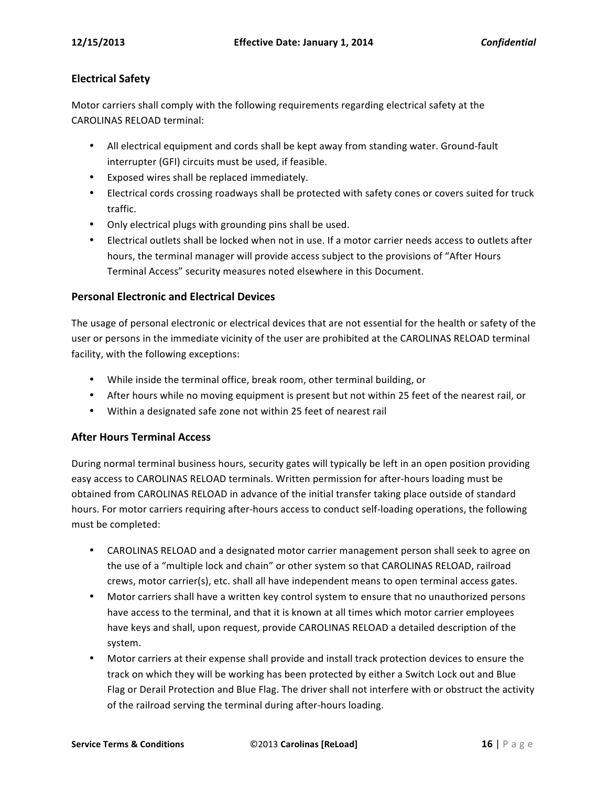# **Electrical Safety**

Motor carriers shall comply with the following requirements regarding electrical safety at the CAROLINAS RELOAD terminal:

- All electrical equipment and cords shall be kept away from standing water. Ground-fault interrupter (GFI) circuits must be used, if feasible.
- Exposed wires shall be replaced immediately.
- Electrical cords crossing roadways shall be protected with safety cones or covers suited for truck traffic.
- Only electrical plugs with grounding pins shall be used.
- Electrical outlets shall be locked when not in use. If a motor carrier needs access to outlets after hours, the terminal manager will provide access subject to the provisions of "After Hours Terminal Access" security measures noted elsewhere in this Document.

#### **Personal Electronic and Electrical Devices**

The usage of personal electronic or electrical devices that are not essential for the health or safety of the user or persons in the immediate vicinity of the user are prohibited at the CAROLINAS RELOAD terminal facility, with the following exceptions:

- While inside the terminal office, break room, other terminal building, or
- After hours while no moving equipment is present but not within 25 feet of the nearest rail, or
- Within a designated safe zone not within 25 feet of nearest rail

# **After Hours Terminal Access**

During normal terminal business hours, security gates will typically be left in an open position providing easy access to CAROLINAS RELOAD terminals. Written permission for after-hours loading must be obtained from CAROLINAS RELOAD in advance of the initial transfer taking place outside of standard hours. For motor carriers requiring after-hours access to conduct self-loading operations, the following must be completed:

- CAROLINAS RELOAD and a designated motor carrier management person shall seek to agree on the use of a "multiple lock and chain" or other system so that CAROLINAS RELOAD, railroad crews, motor carrier(s), etc. shall all have independent means to open terminal access gates.
- Motor carriers shall have a written key control system to ensure that no unauthorized persons have access to the terminal, and that it is known at all times which motor carrier employees have keys and shall, upon request, provide CAROLINAS RELOAD a detailed description of the system.
- Motor carriers at their expense shall provide and install track protection devices to ensure the track on which they will be working has been protected by either a Switch Lock out and Blue Flag or Derail Protection and Blue Flag. The driver shall not interfere with or obstruct the activity of the railroad serving the terminal during after-hours loading.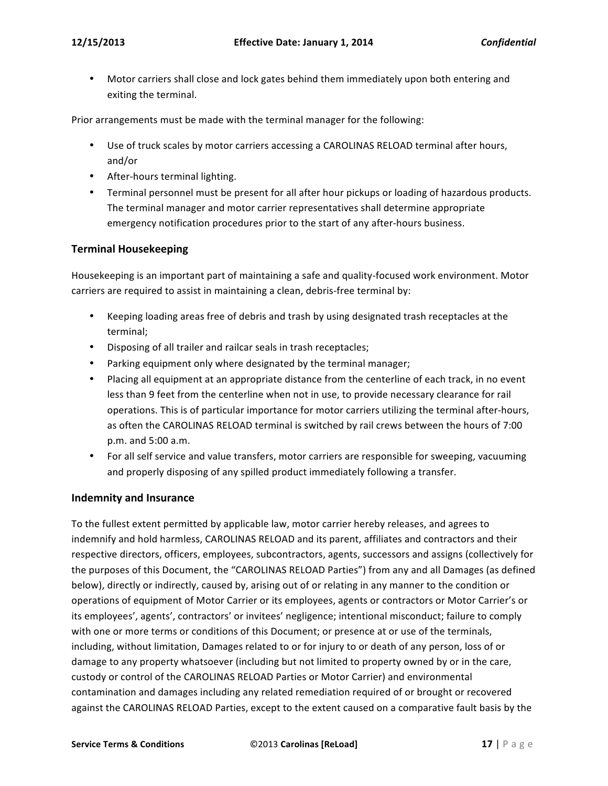• Motor carriers shall close and lock gates behind them immediately upon both entering and exiting the terminal.

Prior arrangements must be made with the terminal manager for the following:

- Use of truck scales by motor carriers accessing a CAROLINAS RELOAD terminal after hours, and/or
- After-hours terminal lighting.
- Terminal personnel must be present for all after hour pickups or loading of hazardous products. The terminal manager and motor carrier representatives shall determine appropriate emergency notification procedures prior to the start of any after-hours business.

#### **Terminal Housekeeping**

Housekeeping is an important part of maintaining a safe and quality-focused work environment. Motor carriers are required to assist in maintaining a clean, debris-free terminal by:

- Keeping loading areas free of debris and trash by using designated trash receptacles at the terminal;
- Disposing of all trailer and railcar seals in trash receptacles;
- Parking equipment only where designated by the terminal manager;
- Placing all equipment at an appropriate distance from the centerline of each track, in no event less than 9 feet from the centerline when not in use, to provide necessary clearance for rail operations. This is of particular importance for motor carriers utilizing the terminal after-hours, as often the CAROLINAS RELOAD terminal is switched by rail crews between the hours of 7:00 p.m. and 5:00 a.m.
- For all self service and value transfers, motor carriers are responsible for sweeping, vacuuming and properly disposing of any spilled product immediately following a transfer.

#### **Indemnity and Insurance**

To the fullest extent permitted by applicable law, motor carrier hereby releases, and agrees to indemnify and hold harmless, CAROLINAS RELOAD and its parent, affiliates and contractors and their respective directors, officers, employees, subcontractors, agents, successors and assigns (collectively for the purposes of this Document, the "CAROLINAS RELOAD Parties") from any and all Damages (as defined below), directly or indirectly, caused by, arising out of or relating in any manner to the condition or operations of equipment of Motor Carrier or its employees, agents or contractors or Motor Carrier's or its employees', agents', contractors' or invitees' negligence; intentional misconduct; failure to comply with one or more terms or conditions of this Document; or presence at or use of the terminals, including, without limitation, Damages related to or for injury to or death of any person, loss of or damage to any property whatsoever (including but not limited to property owned by or in the care, custody or control of the CAROLINAS RELOAD Parties or Motor Carrier) and environmental contamination and damages including any related remediation required of or brought or recovered against the CAROLINAS RELOAD Parties, except to the extent caused on a comparative fault basis by the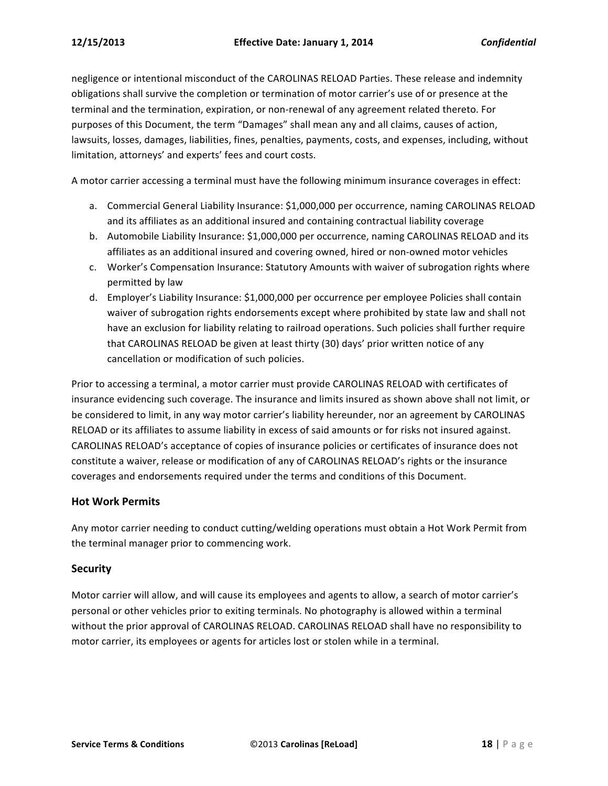negligence or intentional misconduct of the CAROLINAS RELOAD Parties. These release and indemnity obligations shall survive the completion or termination of motor carrier's use of or presence at the terminal and the termination, expiration, or non-renewal of any agreement related thereto. For purposes of this Document, the term "Damages" shall mean any and all claims, causes of action, lawsuits, losses, damages, liabilities, fines, penalties, payments, costs, and expenses, including, without limitation, attorneys' and experts' fees and court costs.

A motor carrier accessing a terminal must have the following minimum insurance coverages in effect:

- a. Commercial General Liability Insurance: \$1,000,000 per occurrence, naming CAROLINAS RELOAD and its affiliates as an additional insured and containing contractual liability coverage
- b. Automobile Liability Insurance: \$1,000,000 per occurrence, naming CAROLINAS RELOAD and its affiliates as an additional insured and covering owned, hired or non-owned motor vehicles
- c. Worker's Compensation Insurance: Statutory Amounts with waiver of subrogation rights where permitted by law
- d. Employer's Liability Insurance: \$1,000,000 per occurrence per employee Policies shall contain waiver of subrogation rights endorsements except where prohibited by state law and shall not have an exclusion for liability relating to railroad operations. Such policies shall further require that CAROLINAS RELOAD be given at least thirty (30) days' prior written notice of any cancellation or modification of such policies.

Prior to accessing a terminal, a motor carrier must provide CAROLINAS RELOAD with certificates of insurance evidencing such coverage. The insurance and limits insured as shown above shall not limit, or be considered to limit, in any way motor carrier's liability hereunder, nor an agreement by CAROLINAS RELOAD or its affiliates to assume liability in excess of said amounts or for risks not insured against. CAROLINAS RELOAD's acceptance of copies of insurance policies or certificates of insurance does not constitute a waiver, release or modification of any of CAROLINAS RELOAD's rights or the insurance coverages and endorsements required under the terms and conditions of this Document.

#### **Hot Work Permits**

Any motor carrier needing to conduct cutting/welding operations must obtain a Hot Work Permit from the terminal manager prior to commencing work.

#### **Security**

Motor carrier will allow, and will cause its employees and agents to allow, a search of motor carrier's personal or other vehicles prior to exiting terminals. No photography is allowed within a terminal without the prior approval of CAROLINAS RELOAD. CAROLINAS RELOAD shall have no responsibility to motor carrier, its employees or agents for articles lost or stolen while in a terminal.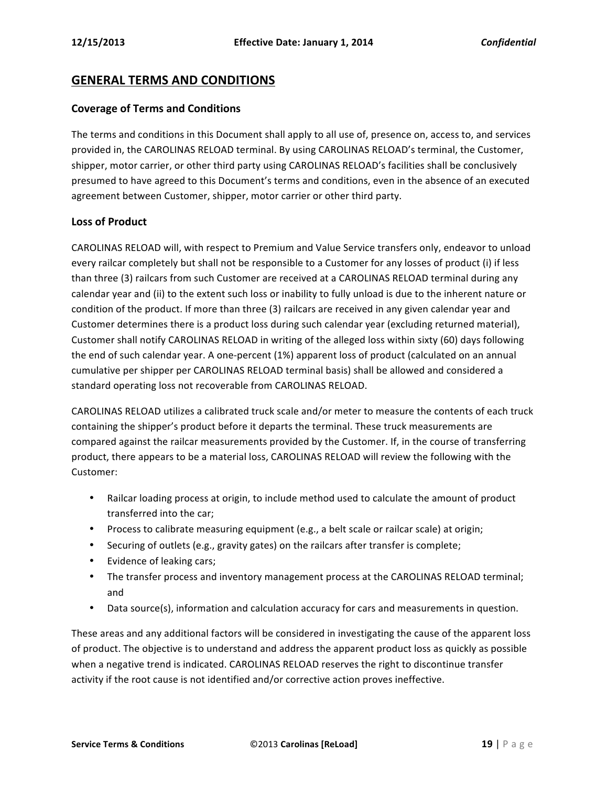# **GENERAL TERMS AND CONDITIONS**

#### **Coverage of Terms and Conditions**

The terms and conditions in this Document shall apply to all use of, presence on, access to, and services provided in, the CAROLINAS RELOAD terminal. By using CAROLINAS RELOAD's terminal, the Customer, shipper, motor carrier, or other third party using CAROLINAS RELOAD's facilities shall be conclusively presumed to have agreed to this Document's terms and conditions, even in the absence of an executed agreement between Customer, shipper, motor carrier or other third party.

#### **Loss of Product**

CAROLINAS RELOAD will, with respect to Premium and Value Service transfers only, endeavor to unload every railcar completely but shall not be responsible to a Customer for any losses of product (i) if less than three (3) railcars from such Customer are received at a CAROLINAS RELOAD terminal during any calendar year and (ii) to the extent such loss or inability to fully unload is due to the inherent nature or condition of the product. If more than three (3) railcars are received in any given calendar year and Customer determines there is a product loss during such calendar year (excluding returned material), Customer shall notify CAROLINAS RELOAD in writing of the alleged loss within sixty (60) days following the end of such calendar year. A one-percent (1%) apparent loss of product (calculated on an annual cumulative per shipper per CAROLINAS RELOAD terminal basis) shall be allowed and considered a standard operating loss not recoverable from CAROLINAS RELOAD.

CAROLINAS RELOAD utilizes a calibrated truck scale and/or meter to measure the contents of each truck containing the shipper's product before it departs the terminal. These truck measurements are compared against the railcar measurements provided by the Customer. If, in the course of transferring product, there appears to be a material loss, CAROLINAS RELOAD will review the following with the Customer:

- Railcar loading process at origin, to include method used to calculate the amount of product transferred into the car;
- Process to calibrate measuring equipment (e.g., a belt scale or railcar scale) at origin;
- Securing of outlets (e.g., gravity gates) on the railcars after transfer is complete;
- Evidence of leaking cars;
- The transfer process and inventory management process at the CAROLINAS RELOAD terminal; and
- Data source(s), information and calculation accuracy for cars and measurements in question.

These areas and any additional factors will be considered in investigating the cause of the apparent loss of product. The objective is to understand and address the apparent product loss as quickly as possible when a negative trend is indicated. CAROLINAS RELOAD reserves the right to discontinue transfer activity if the root cause is not identified and/or corrective action proves ineffective.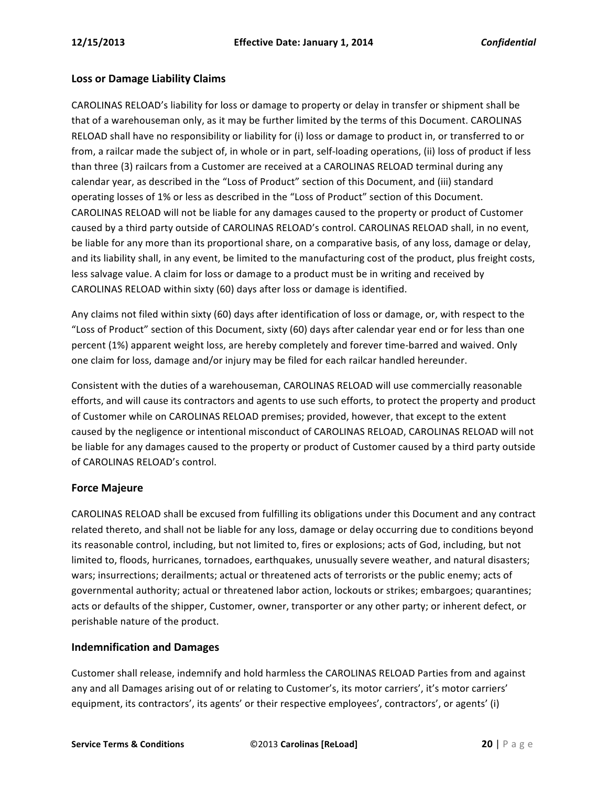#### **Loss or Damage Liability Claims**

CAROLINAS RELOAD's liability for loss or damage to property or delay in transfer or shipment shall be that of a warehouseman only, as it may be further limited by the terms of this Document. CAROLINAS RELOAD shall have no responsibility or liability for (i) loss or damage to product in, or transferred to or from, a railcar made the subject of, in whole or in part, self-loading operations, (ii) loss of product if less than three (3) railcars from a Customer are received at a CAROLINAS RELOAD terminal during any calendar year, as described in the "Loss of Product" section of this Document, and (iii) standard operating losses of 1% or less as described in the "Loss of Product" section of this Document. CAROLINAS RELOAD will not be liable for any damages caused to the property or product of Customer caused by a third party outside of CAROLINAS RELOAD's control. CAROLINAS RELOAD shall, in no event, be liable for any more than its proportional share, on a comparative basis, of any loss, damage or delay, and its liability shall, in any event, be limited to the manufacturing cost of the product, plus freight costs, less salvage value. A claim for loss or damage to a product must be in writing and received by CAROLINAS RELOAD within sixty (60) days after loss or damage is identified.

Any claims not filed within sixty (60) days after identification of loss or damage, or, with respect to the "Loss of Product" section of this Document, sixty (60) days after calendar year end or for less than one percent (1%) apparent weight loss, are hereby completely and forever time-barred and waived. Only one claim for loss, damage and/or injury may be filed for each railcar handled hereunder.

Consistent with the duties of a warehouseman, CAROLINAS RELOAD will use commercially reasonable efforts, and will cause its contractors and agents to use such efforts, to protect the property and product of Customer while on CAROLINAS RELOAD premises; provided, however, that except to the extent caused by the negligence or intentional misconduct of CAROLINAS RELOAD, CAROLINAS RELOAD will not be liable for any damages caused to the property or product of Customer caused by a third party outside of CAROLINAS RELOAD's control.

#### **Force Majeure**

CAROLINAS RELOAD shall be excused from fulfilling its obligations under this Document and any contract related thereto, and shall not be liable for any loss, damage or delay occurring due to conditions beyond its reasonable control, including, but not limited to, fires or explosions; acts of God, including, but not limited to, floods, hurricanes, tornadoes, earthquakes, unusually severe weather, and natural disasters; wars; insurrections; derailments; actual or threatened acts of terrorists or the public enemy; acts of governmental authority; actual or threatened labor action, lockouts or strikes; embargoes; quarantines; acts or defaults of the shipper, Customer, owner, transporter or any other party; or inherent defect, or perishable nature of the product.

#### **Indemnification and Damages**

Customer shall release, indemnify and hold harmless the CAROLINAS RELOAD Parties from and against any and all Damages arising out of or relating to Customer's, its motor carriers', it's motor carriers' equipment, its contractors', its agents' or their respective employees', contractors', or agents' (i)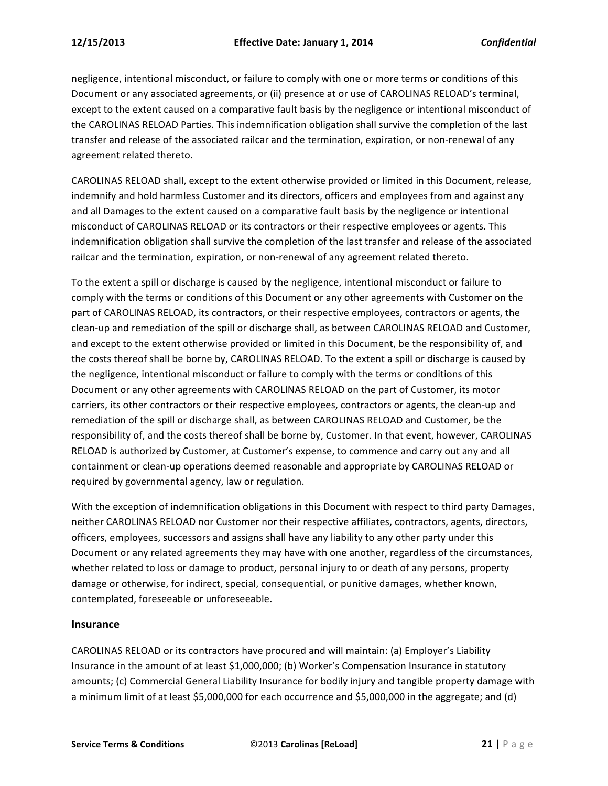negligence, intentional misconduct, or failure to comply with one or more terms or conditions of this Document or any associated agreements, or (ii) presence at or use of CAROLINAS RELOAD's terminal, except to the extent caused on a comparative fault basis by the negligence or intentional misconduct of the CAROLINAS RELOAD Parties. This indemnification obligation shall survive the completion of the last transfer and release of the associated railcar and the termination, expiration, or non-renewal of any agreement related thereto.

CAROLINAS RELOAD shall, except to the extent otherwise provided or limited in this Document, release, indemnify and hold harmless Customer and its directors, officers and employees from and against any and all Damages to the extent caused on a comparative fault basis by the negligence or intentional misconduct of CAROLINAS RELOAD or its contractors or their respective employees or agents. This indemnification obligation shall survive the completion of the last transfer and release of the associated railcar and the termination, expiration, or non-renewal of any agreement related thereto.

To the extent a spill or discharge is caused by the negligence, intentional misconduct or failure to comply with the terms or conditions of this Document or any other agreements with Customer on the part of CAROLINAS RELOAD, its contractors, or their respective employees, contractors or agents, the clean-up and remediation of the spill or discharge shall, as between CAROLINAS RELOAD and Customer, and except to the extent otherwise provided or limited in this Document, be the responsibility of, and the costs thereof shall be borne by, CAROLINAS RELOAD. To the extent a spill or discharge is caused by the negligence, intentional misconduct or failure to comply with the terms or conditions of this Document or any other agreements with CAROLINAS RELOAD on the part of Customer, its motor carriers, its other contractors or their respective employees, contractors or agents, the clean-up and remediation of the spill or discharge shall, as between CAROLINAS RELOAD and Customer, be the responsibility of, and the costs thereof shall be borne by, Customer. In that event, however, CAROLINAS RELOAD is authorized by Customer, at Customer's expense, to commence and carry out any and all containment or clean-up operations deemed reasonable and appropriate by CAROLINAS RELOAD or required by governmental agency, law or regulation.

With the exception of indemnification obligations in this Document with respect to third party Damages, neither CAROLINAS RELOAD nor Customer nor their respective affiliates, contractors, agents, directors, officers, employees, successors and assigns shall have any liability to any other party under this Document or any related agreements they may have with one another, regardless of the circumstances, whether related to loss or damage to product, personal injury to or death of any persons, property damage or otherwise, for indirect, special, consequential, or punitive damages, whether known, contemplated, foreseeable or unforeseeable.

#### **Insurance**

CAROLINAS RELOAD or its contractors have procured and will maintain: (a) Employer's Liability Insurance in the amount of at least \$1,000,000; (b) Worker's Compensation Insurance in statutory amounts; (c) Commercial General Liability Insurance for bodily injury and tangible property damage with a minimum limit of at least \$5,000,000 for each occurrence and \$5,000,000 in the aggregate; and (d)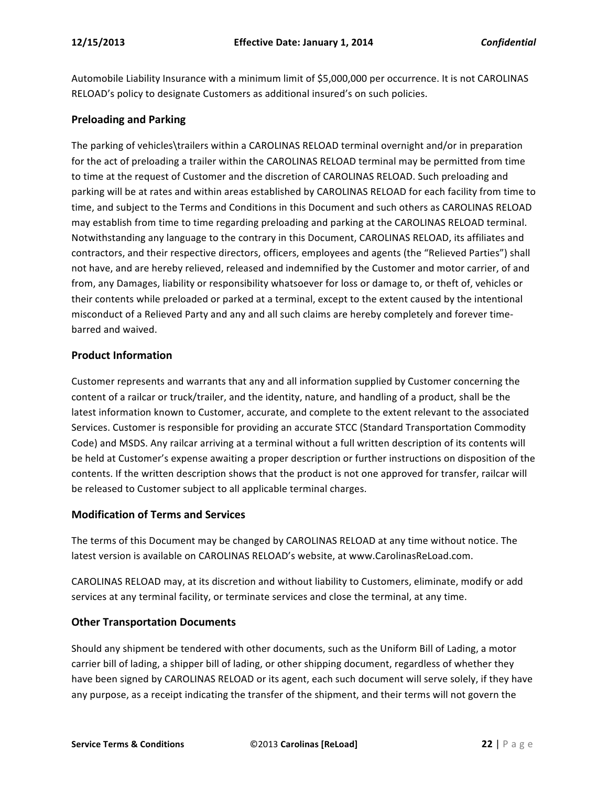Automobile Liability Insurance with a minimum limit of \$5,000,000 per occurrence. It is not CAROLINAS RELOAD's policy to designate Customers as additional insured's on such policies.

#### **Preloading and Parking**

The parking of vehicles\trailers within a CAROLINAS RELOAD terminal overnight and/or in preparation for the act of preloading a trailer within the CAROLINAS RELOAD terminal may be permitted from time to time at the request of Customer and the discretion of CAROLINAS RELOAD. Such preloading and parking will be at rates and within areas established by CAROLINAS RELOAD for each facility from time to time, and subject to the Terms and Conditions in this Document and such others as CAROLINAS RELOAD may establish from time to time regarding preloading and parking at the CAROLINAS RELOAD terminal. Notwithstanding any language to the contrary in this Document, CAROLINAS RELOAD, its affiliates and contractors, and their respective directors, officers, employees and agents (the "Relieved Parties") shall not have, and are hereby relieved, released and indemnified by the Customer and motor carrier, of and from, any Damages, liability or responsibility whatsoever for loss or damage to, or theft of, vehicles or their contents while preloaded or parked at a terminal, except to the extent caused by the intentional misconduct of a Relieved Party and any and all such claims are hereby completely and forever timebarred and waived.

# **Product Information**

Customer represents and warrants that any and all information supplied by Customer concerning the content of a railcar or truck/trailer, and the identity, nature, and handling of a product, shall be the latest information known to Customer, accurate, and complete to the extent relevant to the associated Services. Customer is responsible for providing an accurate STCC (Standard Transportation Commodity Code) and MSDS. Any railcar arriving at a terminal without a full written description of its contents will be held at Customer's expense awaiting a proper description or further instructions on disposition of the contents. If the written description shows that the product is not one approved for transfer, railcar will be released to Customer subject to all applicable terminal charges.

#### **Modification of Terms and Services**

The terms of this Document may be changed by CAROLINAS RELOAD at any time without notice. The latest version is available on CAROLINAS RELOAD's website, at www.CarolinasReLoad.com.

CAROLINAS RELOAD may, at its discretion and without liability to Customers, eliminate, modify or add services at any terminal facility, or terminate services and close the terminal, at any time.

#### **Other Transportation Documents**

Should any shipment be tendered with other documents, such as the Uniform Bill of Lading, a motor carrier bill of lading, a shipper bill of lading, or other shipping document, regardless of whether they have been signed by CAROLINAS RELOAD or its agent, each such document will serve solely, if they have any purpose, as a receipt indicating the transfer of the shipment, and their terms will not govern the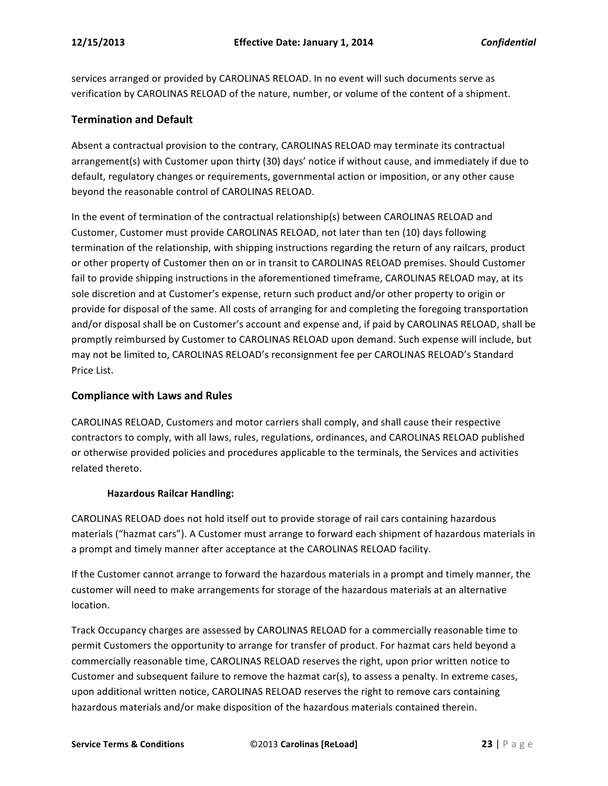services arranged or provided by CAROLINAS RELOAD. In no event will such documents serve as verification by CAROLINAS RELOAD of the nature, number, or volume of the content of a shipment.

#### **Termination and Default**

Absent a contractual provision to the contrary, CAROLINAS RELOAD may terminate its contractual arrangement(s) with Customer upon thirty (30) days' notice if without cause, and immediately if due to default, regulatory changes or requirements, governmental action or imposition, or any other cause beyond the reasonable control of CAROLINAS RELOAD.

In the event of termination of the contractual relationship(s) between CAROLINAS RELOAD and Customer, Customer must provide CAROLINAS RELOAD, not later than ten (10) days following termination of the relationship, with shipping instructions regarding the return of any railcars, product or other property of Customer then on or in transit to CAROLINAS RELOAD premises. Should Customer fail to provide shipping instructions in the aforementioned timeframe, CAROLINAS RELOAD may, at its sole discretion and at Customer's expense, return such product and/or other property to origin or provide for disposal of the same. All costs of arranging for and completing the foregoing transportation and/or disposal shall be on Customer's account and expense and, if paid by CAROLINAS RELOAD, shall be promptly reimbursed by Customer to CAROLINAS RELOAD upon demand. Such expense will include, but may not be limited to, CAROLINAS RELOAD's reconsignment fee per CAROLINAS RELOAD's Standard Price List.

#### **Compliance with Laws and Rules**

CAROLINAS RELOAD, Customers and motor carriers shall comply, and shall cause their respective contractors to comply, with all laws, rules, regulations, ordinances, and CAROLINAS RELOAD published or otherwise provided policies and procedures applicable to the terminals, the Services and activities related thereto.

#### **Hazardous Railcar Handling:**

CAROLINAS RELOAD does not hold itself out to provide storage of rail cars containing hazardous materials ("hazmat cars"). A Customer must arrange to forward each shipment of hazardous materials in a prompt and timely manner after acceptance at the CAROLINAS RELOAD facility.

If the Customer cannot arrange to forward the hazardous materials in a prompt and timely manner, the customer will need to make arrangements for storage of the hazardous materials at an alternative location.

Track Occupancy charges are assessed by CAROLINAS RELOAD for a commercially reasonable time to permit Customers the opportunity to arrange for transfer of product. For hazmat cars held beyond a commercially reasonable time, CAROLINAS RELOAD reserves the right, upon prior written notice to Customer and subsequent failure to remove the hazmat car(s), to assess a penalty. In extreme cases, upon additional written notice, CAROLINAS RELOAD reserves the right to remove cars containing hazardous materials and/or make disposition of the hazardous materials contained therein.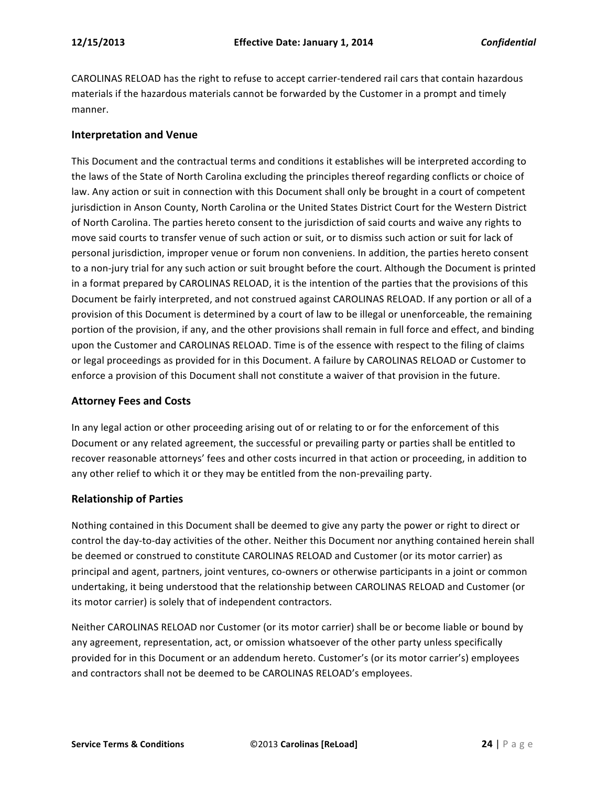CAROLINAS RELOAD has the right to refuse to accept carrier-tendered rail cars that contain hazardous materials if the hazardous materials cannot be forwarded by the Customer in a prompt and timely manner.

#### **Interpretation and Venue**

This Document and the contractual terms and conditions it establishes will be interpreted according to the laws of the State of North Carolina excluding the principles thereof regarding conflicts or choice of law. Any action or suit in connection with this Document shall only be brought in a court of competent jurisdiction in Anson County, North Carolina or the United States District Court for the Western District of North Carolina. The parties hereto consent to the jurisdiction of said courts and waive any rights to move said courts to transfer venue of such action or suit, or to dismiss such action or suit for lack of personal jurisdiction, improper venue or forum non conveniens. In addition, the parties hereto consent to a non-jury trial for any such action or suit brought before the court. Although the Document is printed in a format prepared by CAROLINAS RELOAD, it is the intention of the parties that the provisions of this Document be fairly interpreted, and not construed against CAROLINAS RELOAD. If any portion or all of a provision of this Document is determined by a court of law to be illegal or unenforceable, the remaining portion of the provision, if any, and the other provisions shall remain in full force and effect, and binding upon the Customer and CAROLINAS RELOAD. Time is of the essence with respect to the filing of claims or legal proceedings as provided for in this Document. A failure by CAROLINAS RELOAD or Customer to enforce a provision of this Document shall not constitute a waiver of that provision in the future.

#### **Attorney Fees and Costs**

In any legal action or other proceeding arising out of or relating to or for the enforcement of this Document or any related agreement, the successful or prevailing party or parties shall be entitled to recover reasonable attorneys' fees and other costs incurred in that action or proceeding, in addition to any other relief to which it or they may be entitled from the non-prevailing party.

#### **Relationship of Parties**

Nothing contained in this Document shall be deemed to give any party the power or right to direct or control the day-to-day activities of the other. Neither this Document nor anything contained herein shall be deemed or construed to constitute CAROLINAS RELOAD and Customer (or its motor carrier) as principal and agent, partners, joint ventures, co-owners or otherwise participants in a joint or common undertaking, it being understood that the relationship between CAROLINAS RELOAD and Customer (or its motor carrier) is solely that of independent contractors.

Neither CAROLINAS RELOAD nor Customer (or its motor carrier) shall be or become liable or bound by any agreement, representation, act, or omission whatsoever of the other party unless specifically provided for in this Document or an addendum hereto. Customer's (or its motor carrier's) employees and contractors shall not be deemed to be CAROLINAS RELOAD's employees.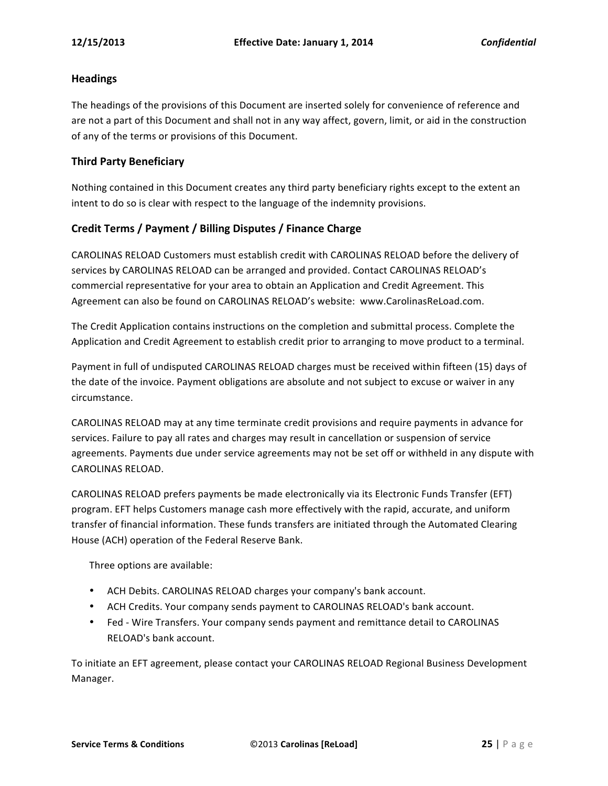#### **Headings**

The headings of the provisions of this Document are inserted solely for convenience of reference and are not a part of this Document and shall not in any way affect, govern, limit, or aid in the construction of any of the terms or provisions of this Document.

#### **Third Party Beneficiary**

Nothing contained in this Document creates any third party beneficiary rights except to the extent an intent to do so is clear with respect to the language of the indemnity provisions.

#### Credit Terms / Payment / Billing Disputes / Finance Charge

CAROLINAS RELOAD Customers must establish credit with CAROLINAS RELOAD before the delivery of services by CAROLINAS RELOAD can be arranged and provided. Contact CAROLINAS RELOAD's commercial representative for your area to obtain an Application and Credit Agreement. This Agreement can also be found on CAROLINAS RELOAD's website: www.CarolinasReLoad.com.

The Credit Application contains instructions on the completion and submittal process. Complete the Application and Credit Agreement to establish credit prior to arranging to move product to a terminal.

Payment in full of undisputed CAROLINAS RELOAD charges must be received within fifteen (15) days of the date of the invoice. Payment obligations are absolute and not subject to excuse or waiver in any circumstance.

CAROLINAS RELOAD may at any time terminate credit provisions and require payments in advance for services. Failure to pay all rates and charges may result in cancellation or suspension of service agreements. Payments due under service agreements may not be set off or withheld in any dispute with CAROLINAS RELOAD.

CAROLINAS RELOAD prefers payments be made electronically via its Electronic Funds Transfer (EFT) program. EFT helps Customers manage cash more effectively with the rapid, accurate, and uniform transfer of financial information. These funds transfers are initiated through the Automated Clearing House (ACH) operation of the Federal Reserve Bank.

Three options are available:

- ACH Debits. CAROLINAS RELOAD charges your company's bank account.
- ACH Credits. Your company sends payment to CAROLINAS RELOAD's bank account.
- Fed Wire Transfers. Your company sends payment and remittance detail to CAROLINAS RELOAD's bank account.

To initiate an EFT agreement, please contact your CAROLINAS RELOAD Regional Business Development Manager.